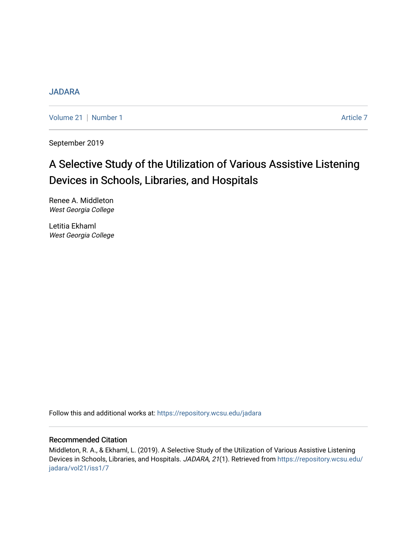# [JADARA](https://repository.wcsu.edu/jadara)

[Volume 21](https://repository.wcsu.edu/jadara/vol21) | [Number 1](https://repository.wcsu.edu/jadara/vol21/iss1) Article 7

September 2019

# A Selective Study of the Utilization of Various Assistive Listening Devices in Schools, Libraries, and Hospitals

Renee A. Middleton West Georgia College

Letitia Ekhaml West Georgia College

Follow this and additional works at: [https://repository.wcsu.edu/jadara](https://repository.wcsu.edu/jadara?utm_source=repository.wcsu.edu%2Fjadara%2Fvol21%2Fiss1%2F7&utm_medium=PDF&utm_campaign=PDFCoverPages)

# Recommended Citation

Middleton, R. A., & Ekhaml, L. (2019). A Selective Study of the Utilization of Various Assistive Listening Devices in Schools, Libraries, and Hospitals. JADARA, 21(1). Retrieved from [https://repository.wcsu.edu/](https://repository.wcsu.edu/jadara/vol21/iss1/7?utm_source=repository.wcsu.edu%2Fjadara%2Fvol21%2Fiss1%2F7&utm_medium=PDF&utm_campaign=PDFCoverPages) [jadara/vol21/iss1/7](https://repository.wcsu.edu/jadara/vol21/iss1/7?utm_source=repository.wcsu.edu%2Fjadara%2Fvol21%2Fiss1%2F7&utm_medium=PDF&utm_campaign=PDFCoverPages)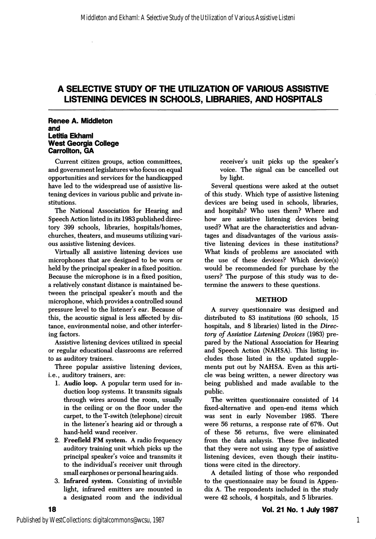#### Renee A. Middleton and Letitia EkhamI West Georgia College Carrollton, GA

Current citizen groups, action committees, and government legislatures who focus on equal opportunities and services for the handicapped have led to the widespread use of assistive lis tening devices in various public and private in stitutions.

The National Association for Hearing and Speech Action listed in its 1983 published direc tory 399 schools, libraries, hospitals/homes, churches, theaters, and museums utilizing vari ous assistive listening devices.

Virtually all assistive listening devices use microphones that are designed to be worn or held by the principal speaker in a fixed position. Because the microphone is in a fixed position, a relatively constant distance is maintained be tween the principal speaker's mouth and the microphone, which provides a controlled sound pressure level to the listener's ear. Because of this, the acoustic signal is less affected by dis tance, environmental noise, and other interfer ing factors.

Assistive listening devices utilized in special or regular educational classrooms are referred to as auditory trainers.

Three popular assistive listening devices, i.e., auditory trainers, are:

- 1. Audio loop. A popular term used for in duction loop systems. It transmits signals through wires around the room, usually in the ceiling or on the floor under the carpet, to the T-switch (telephone) circuit in the listener's hearing aid or through a hand-held wand receiver.
- 2. Freefield FM system. A radio frequency auditory training unit which picks up the principal speaker's voice and transmits it to the individual's receiver unit through small earphones or personal hearing aids.
- 3. Infrared system. Consisting of invisible light, infrared emitters are mounted in a designated room and the individual

receiver's unit picks up the speaker's voice. The signal can be cancelled out by light.

Several questions were asked at the outset of this study. Which type of assistive listening devices are being used in schools, libraries, and hospitals? Who uses them? Where and how are assistive listening devices being used? What are the characteristics and advan tages and disadvantages of the various assis tive listening devices in these institutions? What kinds of problems are associated with the use of these devices? Which device(s) would be recommended for purchase by the users? The purpose of this study was to de termine the answers to these questions.

#### METHOD

A survey questionnaire was designed and distributed to 83 institutions (60 schools, 15 hospitals, and 8 libraries) listed in the Direc tory of Assistive Listening Devices (1983) pre pared by the National Association for Hearing and Speech Action (NAHSA). This listing in cludes those listed in the updated supple ments put out by NAHSA. Even as this arti cle was being written, a newer directory was being published and made available to the public.

The written questionnaire consisted of 14 fixed-altemative and open-end items which was sent in early November 1985. There were 56 returns, a response rate of 67%. Out of these 56 returns, five were eliminated from the data anlaysis. These five indicated that they were not using any type of assistive listening devices, even though their institu tions were cited in the directory.

A detailed listing of those who responded to the questionnaire may be found in Appen dix A. The respondents included in the study were 42 schools, 4 hospitals, and 5 libraries.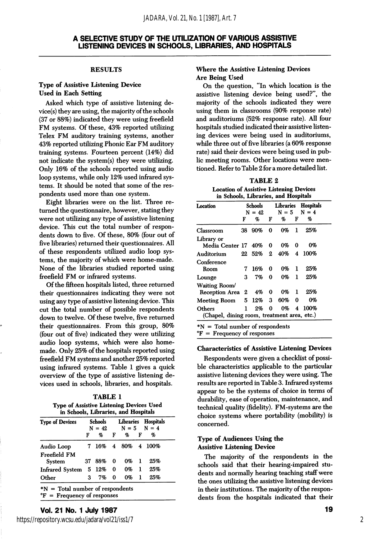#### **RESULTS**

#### Type of Assistive Listening Device Used in Each Setting

Asked which type of assistive listening device(s) they are using, the majority of the schools (37 or 88%) indicated they were using freefield FM systems. Of these, 43% reported utilizing Telex FM auditory training systems, another 43% reported utilizing Phonic Ear FM auditory training systems. Fourteen percent (14%) did not indicate the system(s) they were utilizing. Only 16% of the schools reported using audio loop systems, while only 12% used infrared sys tems. It should be noted that some of the res pondents used more than one system.

Eight libraries were on the list. Three re turned the questionnaire, however, stating they were not utilizing any type of assistive listening device. This cut the total number of respon dents down to five. Of these, 80% (four out of five libraries) returned their questionnaires. All of these respondents utilized audio loop sys tems, the majority of which were home-made. None of the libraries studied reported using freefield FM or infrared systems.

Of the fifteen hospitals listed, three returned their questionnaires indicating they were not using any type of assistive listening device. This cut the total number of possible respondents down to twelve. Of these twelve, five returned their questionnaires. From this group, 80% (four out of five) indicated they were utilizing audio loop systems, which were also home made. Only 25% of the hospitals reported using freefield FM systems and another 25% reported using infrared systems. Table 1 gives a quick overview of the type of assistive listening de vices used in schools, libraries, and hospitals.

| <b>TABLE 1</b>                                  |  |  |  |  |  |  |  |
|-------------------------------------------------|--|--|--|--|--|--|--|
| <b>Type of Assistive Listening Devices Used</b> |  |  |  |  |  |  |  |
| in Schools, Libraries, and Hospitals            |  |  |  |  |  |  |  |

| <b>Type of Devices</b> | Schools<br>$N = 42$ |        |          |    | Libraries Hospitals<br>$N = 5$ $N = 4$ |                    |
|------------------------|---------------------|--------|----------|----|----------------------------------------|--------------------|
|                        | F                   | %      | F        | o, | F                                      | %                  |
| Audio Loop             |                     |        |          |    |                                        | 7 16% 4 80% 4 100% |
| Freefield FM<br>System |                     | 37 88% | 0        | 0% | -1                                     | 25%                |
| <b>Infrared System</b> |                     | 5 12%  | $\bf{0}$ | 0% | 1                                      | 25%                |
| Other                  | з                   | 7%     | 0        | 0% | 1                                      | 25%                |

\*N = Total number of respondents °F = Frequency of responses

#### Where the Assistive Listening Devices Are Being Used

On the question, "In which location is the assistive listening device being used?", the majority of the schools indicated they were using them in classrooms (90% response rate) and auditoriums (52% response rate). All four hospitals studied indicated their assistive listen ing devices were being used in auditoriums, while three out of five libraries (a 60% response rate) said their devices were being used in pub lic meeting rooms. Other locations were men tioned. Refer to Table 2 for a more detailed list.

TABLE 2 Location of Assistive Listening Devices

| Location                                    |      | Schools<br>$N = 42$ | Libraries<br>$N = 5$ |     |                         | <b>Hospitals</b><br>$N = 4$ |  |
|---------------------------------------------|------|---------------------|----------------------|-----|-------------------------|-----------------------------|--|
|                                             | F    | %                   | F                    | %   | F                       | %                           |  |
| Classroom                                   | 38 - | 90%                 | 0                    | 0%  | 1                       | 25%                         |  |
| Library or                                  |      |                     |                      |     |                         |                             |  |
| Media Center 17 40%                         |      |                     | 0                    | 0%  | 0                       | 0%                          |  |
| Auditorium                                  |      | 22 52%              | 2                    | 40% | $\overline{\mathbf{4}}$ | 100%                        |  |
| Conference                                  |      |                     |                      |     |                         |                             |  |
| Room                                        | 7    | 16%                 | 0                    | 0%  | ı                       | 25%                         |  |
| Lounge                                      | з    | 7%                  | 0                    | 0%  | 1                       | 25%                         |  |
| Waiting Room/                               |      |                     |                      |     |                         |                             |  |
| Reception Area                              | 2    | 4%                  | 0                    | 0%  | 1                       | 25%                         |  |
| <b>Meeting Room</b>                         | 5.   | 12%                 | 3                    | 60% | 0                       | 0%                          |  |
| Others                                      | 1    | 2%                  | 0                    | 0%  | 4                       | 100%                        |  |
| (Chapel, dining room, treatment area, etc.) |      |                     |                      |     |                         |                             |  |

 ${}^{\circ}F$  = Frequency of responses

#### Characteristics of Assistive Listening Devices

Respondents were given a checklist of possi ble characteristics applicable to the particular assistive listening devices they were using. The results are reported in Table 3. Infrared systems appear to be the systems of choice in terms of durability, ease of operation, maintenance, and technical quality (fidelity). FM-systems are the choice systems where portability (mobility) is concerned.

#### Type of Audiences Using the Assistive Listening Device

The majority of the respondents in the schools said that their hearing-impaired stu dents and normally hearing teaching staff were the ones utilizing the assistive listening devices in their institutions. The majority of the respon dents from the hospitals indicated that their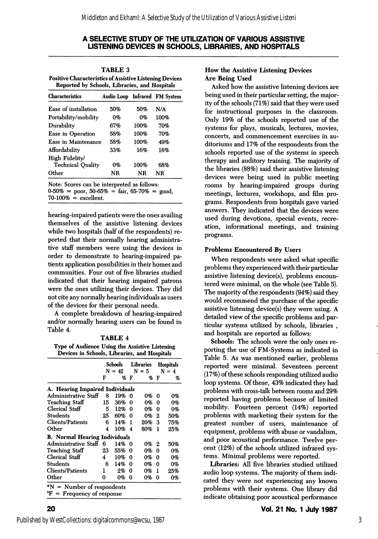| <b>TABLE 3</b>                                                 |
|----------------------------------------------------------------|
| <b>Positive Characteristics of Assistive Listening Devices</b> |
| Reported by Schools, Libraries, and Hospitals                  |

| <b>Characteristics</b>                     |      |      | Audio Loop Infrared FM System |  |  |
|--------------------------------------------|------|------|-------------------------------|--|--|
| Ease of installation                       | .50% | 50%  | N/A                           |  |  |
| Portability/mobility                       | 0%   | 0%   | 100%                          |  |  |
| Durability                                 | 67%  | 100% | 70%                           |  |  |
| Ease in Operation                          | 58%  | 100% | 70%                           |  |  |
| Ease in Maintenance                        | 58%  | 100% | 49%                           |  |  |
| Affordability                              | 33%  | 16%  | 16%                           |  |  |
| High Fidelity/<br><b>Technical Quality</b> | 0%   | 100% | 68%                           |  |  |
| Other                                      | ΝR   | NR   | NR                            |  |  |

Note: Scores can be interpreted as follows:  $0.50\% =$  poor, 50-65% = fair, 65-70% = good,  $70-100\%$  = excellent.

hearing-impaired patients were the ones availing themselves of the assistive listening devices while two hospitals (half of the respondents) re ported that their normally hearing administra tive staff members were using the devices in order to demonstrate to hearing-impaired pa tients application possibilities in their homes and communities. Four out of five libraries studied indicated that their hearing impaired patrons were the ones utilizing their devices. They did not cite any normally hearing individuals as users of the devices for their personal needs.

A complete breakdown of hearing-impaired and/or normally hearing users can be found in Table 4.

#### TABLE 4

Type of Audience Using the Assistive Listening Devices in Schools, Libraries, and Hospitals

|                                                                       | Schools<br>$N = 42$ |     | Libraries<br>$N = 5$ |     | <b>Hospitals</b><br>$N = 4$ |     |
|-----------------------------------------------------------------------|---------------------|-----|----------------------|-----|-----------------------------|-----|
|                                                                       | F                   | %   | F                    | %   | F                           | %   |
| A. Hearing Impaired Individuals                                       |                     |     |                      |     |                             |     |
| Administrative Staff                                                  | 8                   | 19% | -0                   | 0%  | 0                           | 0%  |
| Teaching Staff                                                        | 15                  | 36% | 0                    | 0%  | 0                           | 0%  |
| Clerical Staff                                                        | 5                   | 12% | 0                    | 0%  | 0                           | 0%  |
| Students                                                              | 25                  | 60% | 0                    | 0%  | 2                           | 50% |
| Clients/Patients                                                      | 6                   | 14% | 1                    | 20% | 3                           | 75% |
| Other                                                                 | 4                   | 10% | -4                   | 80% | 1                           | 25% |
| <b>B.</b> Normal Hearing Individuals                                  |                     |     |                      |     |                             |     |
| Administrative Staff                                                  | 6                   | 14% | 0                    | 0%  | 2                           | 50% |
| <b>Teaching Staff</b>                                                 | 23                  | 55% | 0                    | 0%  | 0                           | 0%  |
| Clerical Staff                                                        | 4                   | 10% | 0                    | 0%  | 0                           | 0%  |
| Students                                                              | 6                   | 14% | 0                    | 0%  | 0                           | 0%  |
| <b>Clients/Patients</b>                                               | ı                   | 2%  | 0                    | 0%  | 1                           | 25% |
| Other                                                                 | 0                   | 0%  | 0                    | 0%  | 0                           | 0%  |
| $N =$ Number of respondents<br>${}^{\circ}$ F = Frequency of response |                     |     |                      |     |                             |     |

#### How the Assistive Listening Devices Are Being Used

Asked how the assistive listening devices are being used in their particular setting, the major ity of the schools (71%) said that they were used for instructional purposes in the classroom. Only 19% of the schools reported use of the systems for plays, musicals, lectures, movies, concerts, and commencement exercises in au ditoriums and 17% of the respondents from the schools reported use of the systems in speech therapy and auditory training. The majority of the libraries (88%) said their assistive listening devices were being used in public meeting rooms by hearing-impaired groups during meetings, lectures, workshops, and film pro grams. Respondents from hospitals gave varied answers. They indicated that the devices were used during devotions, special events, recre ation, informational meetings, and training programs.

#### Problems Encountered By Users

When respondents were asked what specific problems they experienced with their particular assistive listening device(s), problems encoun tered were minimal, on the whole (see Table 5). The majority of the respondents (94%) said they would recommend the purchase of the specific assistive listening device(s) they were using. A detailed view of the specific problems and par ticular systems utilized by schools, libraries , and hospitals are reported as follows:

Schools: The schools were the only ones re porting the use of FM-Systems as indicated in Table 5. As was mentioned earlier, problems reported were minimal. Seventeen percent (17%) of these schools responding utilized audio loop systems. Of these, 43% indicated they had problems with cross-talk between rooms and 29% reported having problems because of limited mobility. Fourteen percent (14%) reported problems with marketing their system for the greatest number of users, maintenance of equipment, problems with abuse or vandalism, and poor acoustical performance. Twelve per cent (12%) of the schools utilized infrared sys tems. Minimal problems were reported.

Libraries: All five libraries studied utilized audio loop systems. The majority of them indi cated they were not experiencing any known problems with their systems. One library did indicate obtaining poor acoustical performance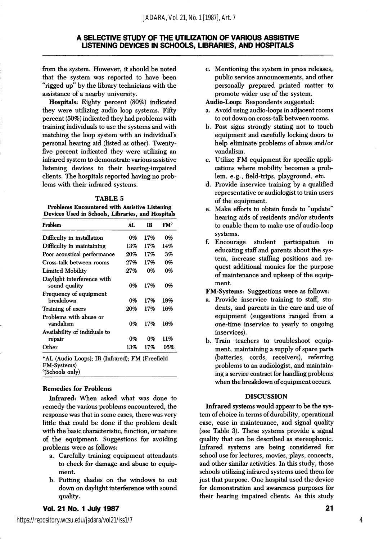from the system. However, it should be noted that the system was reported to have been "rigged up" by the library technicians with the assistance of a nearby university.

Hospitals: Eighty percent (80%) indicated they were utilizing audio loop systems. Fifty percent (50%) indicated they had problems with training individuals to use the systems and with matching the loop system with an individual's personal hearing aid (listed as other). Twentyfive percent indicated they were utilizing an infrared system to demonstrate various assistive listening devices to their hearing-impaired clients. The hospitals reported having no prob lems with their infrared systems.

#### TABLE 5

Problems Encountered with Assistive Listening Devices Used in Schools, Libraries, and Hospitals

| Problem                                     | AT. | IR  | FM° |
|---------------------------------------------|-----|-----|-----|
| Difficulty in installation                  | 0%  | 17% | 0%  |
| Difficulty in maintaining                   | 13% | 17% | 14% |
| Poor acoustical performance                 | 20% | 17% | 3%  |
| Cross-talk between rooms                    | 27% | 17% | 0%  |
| <b>Limited Mobility</b>                     | 27% | 0%  | 0%  |
| Daylight interference with<br>sound quality | 0%  | 17% | 0%  |
| Frequency of equipment<br>hreakdown         | 0%  | 17% | 19% |
| Training of users                           | 20% | 17% | 16% |
| Problems with abuse or<br>vandalism         | 0%  | 17% | 16% |
| Availability of indiduals to                |     |     |     |
| repair                                      | 0%  | 0%  | 11% |
| Other                                       | 13% | 17% | 05% |

\*AL (Audio Loops); IR (Infrared); FM (Freefield FM-Systems) "(Schools only)

#### Remedies for Problems

Infrared: When asked what was done to remedy the various problems encountered, the response was that in some cases, there was very little that could be done if the problem dealt with the basic characteristic, function, or nature of the equipment. Suggestions for avoiding problems were as follows:

- a. Carefully training equipment attendants to check for damage and abuse to equip ment.
- b. Putting shades on the windows to cut down on daylight interference with sound quality.
- c. Mentioning the system in press releases, public service announcements, and other personally prepared printed matter to promote wider use of the system.
- Audio-Loop: Respondents suggested:
- a. Avoid using audio-loops in adjacent rooms to cut down on cross-talk between rooms.
- b. Post signs strongly stating not to touch equipment and carefully locking doors to help eliminate problems of abuse and/or vandalism.
- c. Utilize FM equipment for specific appli cations where mobility becomes a prob lem, e.g., field-trips, playground, etc.
- d. Provide inservice training by a qualified representative or audiologist to train users of the equipment.
- e. Make efforts to obtain funds to "update" hearing aids of residents and/or students to enable them to make use of audio-loop systems.
- f. Encourage student participation in educating staff and parents about the sys tem, increase staffing positions and re quest additional monies for the purpose of maintenance and upkeep of the equip ment.

FM-Systems: Suggestions were as follows:

- a. Provide inservice training to staff, stu dents, and parents in the care and use of equipment (suggestions ranged from a one-time inservice to yearly to ongoing inservices).
- b. Train teachers to troubleshoot equip ment, maintaining a supply of spare parts (batteries, cords, receivers), referring problems to an audiologist, and maintain ing a service contract for handling problems when the breakdown of equipment occurs.

#### DISCUSSION

Infrared systems would appear to be the sys tem of choice in terms of durability, operational ease, ease in maintenance, and signal quality (see Table 3). These systems provide a signal quality that can be described as stereophonic. Infrared systems are being considered for school use for lectures, movies, plays, concerts, and other similar activities. In this study, those schools utilizing infrared systems used them for just that purpose. One hospital used the device for demonstration and awareness purposes for their hearing impaired clients. As this study

#### Vol. 21 No. 1 July 1987

4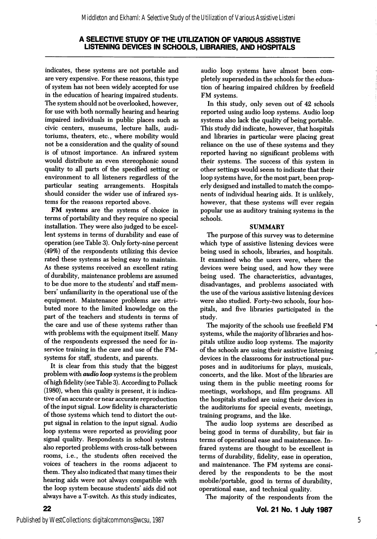indicates, these systems are not portable and are very expensive. For these reasons, this type of system has not been widely accepted for use in the education of hearing impaired students. The system should not be overlooked, however, for use with both normally hearing and hearing impaired individuals in public places such as civic centers, museums, lecture halls, audi toriums, theaters, etc., where mobility would not be a consideration and the quality of sound is of utmost importance. An infrared system would distribute an even stereophonic sound quality to all parts of the specified setting or environment to all listeners regardless of the particular seating arrangements. Hospitals should consider the wider use of infrared sys tems for the reasons reported above.

FM systems are the systems of choice in terms of portability and they require no special installation. They were also judged to be excellent systems in terms of durability and ease of operation (see Table 3). Only forty-nine percent (49%) of the respondents utilizing this device rated these systems as being easy to maintain. As these systems received an excellent rating of durability, maintenance problems are assumed to be due more to the students' and staff members' unfamiliarity in the operational use of the equipment. Maintenance problems are attri buted more to the limited knowledge on the part of the teachers and students in terms of the care and use of these systems rather than with problems with the equipment itself. Many of the respondents expressed the need for inservice training in the care and use of the FMsystems for staff, students, and parents.

It is clear from this study that the biggest problem with audio loop systems is the problem of high fidelity (see Table 3). According to Pollack (1980), when this quality is present, it is indica tive of an accurate or near accurate reproduction of the input signal. Low fidelity is characteristic of those systems which tend to distort the out put signal in relation to the input signal. Audio loop systems were reported as providing poor signal quality. Respondents in school systems also reported problems with cross-talk between rooms, i.e., the students often received the voices of teachers in the rooms adjacent to them. They also indicated that many times their hearing aids were not always compatible with the loop system because students' aids did not always have a T-switch. As this study indicates,

audio loop systems have almost been com pletely superseded in the schools for the educa tion of hearing impaired children by freefield FM systems.

In this study, only seven out of 42 schools reported using audio loop systems. Audio loop systems also lack the quality of being portable. This study did indicate, however, that hospitals and libraries in particular were placing great reliance on the use of these systems and they reported having no significant problems with their systems. The success of this system in other settings would seem to indicate that their loop systems have, for the most part, been prop erly designed and installed to match the compo nents of individual hearing aids. It is unlikely, however, that these systems will ever regain popular use as auditory training systems in the schools.

#### **SUMMARY**

The purpose of this survey was to determine which type of assistive listening devices were being used in schools, libraries, and hospitals. It examined who the users were, where the devices were being used, and how they were being used. The characteristics, advantages, disadvantages, and problems associated with the use of the various assistive listening devices were also studied. Forty-two schools, four hos pitals, and five libraries participated in the study.

The majority of the schools use freefield FM systems, while the majority of libraries and hos pitals utilize audio loop systems. The majority of the schools are using their assistive listening devices in the classrooms for instructional pur poses and in auditoriums for plays, musicals, concerts, and the like. Most of the libraries are using them in the public meeting rooms for meetings, workshops, and film programs. All the hospitals studied are using their devices in the auditoriums for special events, meetings, training programs, and the like.

The audio loop systems are described as being good in terms of durability, but fair in terms of operational ease and maintenance. In frared systems are thought to be excellent in terms of durability, fidelity, ease in operation, and maintenance. The FM systems are consi dered by the respondents to be the most mobile/portable, good in terms of durability, operational ease, and technical quality.

The majority of the respondents from the